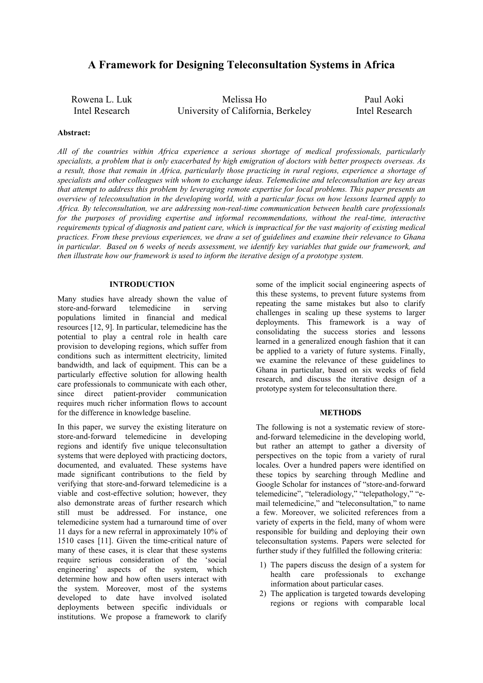# **A Framework for Designing Teleconsultation Systems in Africa**

Rowena L. Luk Intel Research Melissa Ho University of California, Berkeley Paul Aoki Intel Research

## **Abstract:**

*All of the countries within Africa experience a serious shortage of medical professionals, particularly specialists, a problem that is only exacerbated by high emigration of doctors with better prospects overseas. As a result, those that remain in Africa, particularly those practicing in rural regions, experience a shortage of specialists and other colleagues with whom to exchange ideas. Telemedicine and teleconsultation are key areas that attempt to address this problem by leveraging remote expertise for local problems. This paper presents an overview of teleconsultation in the developing world, with a particular focus on how lessons learned apply to Africa. By teleconsultation, we are addressing non-real-time communication between health care professionals*  for the purposes of providing expertise and informal recommendations, without the real-time, interactive *requirements typical of diagnosis and patient care, which is impractical for the vast majority of existing medical practices. From these previous experiences, we draw a set of guidelines and examine their relevance to Ghana in particular. Based on 6 weeks of needs assessment, we identify key variables that guide our framework, and then illustrate how our framework is used to inform the iterative design of a prototype system.* 

## **INTRODUCTION**

Many studies have already shown the value of store-and-forward telemedicine in serving populations limited in financial and medical resources [12, 9]. In particular, telemedicine has the potential to play a central role in health care provision to developing regions, which suffer from conditions such as intermittent electricity, limited bandwidth, and lack of equipment. This can be a particularly effective solution for allowing health care professionals to communicate with each other, since direct patient-provider communication requires much richer information flows to account for the difference in knowledge baseline.

In this paper, we survey the existing literature on store-and-forward telemedicine in developing regions and identify five unique teleconsultation systems that were deployed with practicing doctors, documented, and evaluated. These systems have made significant contributions to the field by verifying that store-and-forward telemedicine is a viable and cost-effective solution; however, they also demonstrate areas of further research which still must be addressed. For instance, one telemedicine system had a turnaround time of over 11 days for a new referral in approximately 10% of 1510 cases [11]. Given the time-critical nature of many of these cases, it is clear that these systems require serious consideration of the 'social engineering' aspects of the system, which determine how and how often users interact with the system. Moreover, most of the systems developed to date have involved isolated deployments between specific individuals or institutions. We propose a framework to clarify some of the implicit social engineering aspects of this these systems, to prevent future systems from repeating the same mistakes but also to clarify challenges in scaling up these systems to larger deployments. This framework is a way of consolidating the success stories and lessons learned in a generalized enough fashion that it can be applied to a variety of future systems. Finally, we examine the relevance of these guidelines to Ghana in particular, based on six weeks of field research, and discuss the iterative design of a prototype system for teleconsultation there.

# **METHODS**

The following is not a systematic review of storeand-forward telemedicine in the developing world, but rather an attempt to gather a diversity of perspectives on the topic from a variety of rural locales. Over a hundred papers were identified on these topics by searching through Medline and Google Scholar for instances of "store-and-forward telemedicine", "teleradiology," "telepathology," "email telemedicine," and "teleconsultation," to name a few. Moreover, we solicited references from a variety of experts in the field, many of whom were responsible for building and deploying their own teleconsultation systems. Papers were selected for further study if they fulfilled the following criteria:

- 1) The papers discuss the design of a system for health care professionals to exchange information about particular cases.
- 2) The application is targeted towards developing regions or regions with comparable local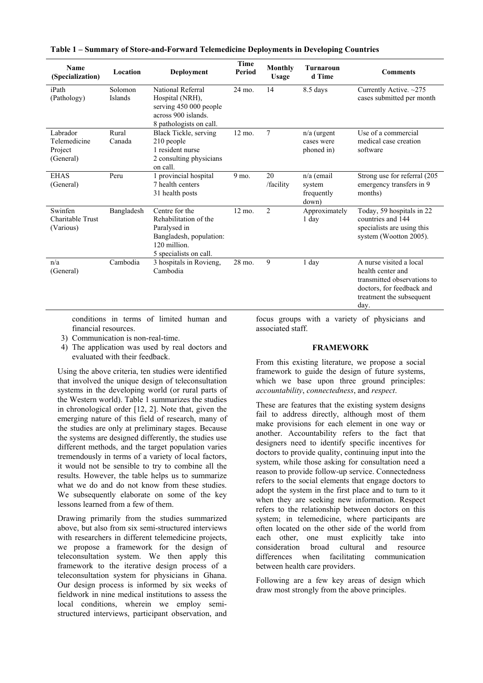| Name<br>(Specialization)                         | Location           | Deployment                                                                                                                   | <b>Time</b><br>Period | Monthly<br><b>Usage</b> | <b>Turnaroun</b><br>d Time                  | <b>Comments</b>                                                                                                                              |
|--------------------------------------------------|--------------------|------------------------------------------------------------------------------------------------------------------------------|-----------------------|-------------------------|---------------------------------------------|----------------------------------------------------------------------------------------------------------------------------------------------|
| iPath<br>(Pathology)                             | Solomon<br>Islands | National Referral<br>Hospital (NRH),<br>serving 450 000 people<br>across 900 islands.<br>8 pathologists on call.             | 24 mo.                | 14                      | 8.5 days                                    | Currently Active. $~275$<br>cases submitted per month                                                                                        |
| Labrador<br>Telemedicine<br>Project<br>(General) | Rural<br>Canada    | Black Tickle, serving<br>210 people<br>1 resident nurse<br>2 consulting physicians<br>on call.                               | 12 mo.                | 7                       | $n/a$ (urgent<br>cases were<br>phoned in)   | Use of a commercial<br>medical case creation<br>software                                                                                     |
| <b>EHAS</b><br>(General)                         | Peru               | 1 provincial hospital<br>7 health centers<br>31 health posts                                                                 | 9 mo.                 | 20<br>/facility         | n/a (email<br>system<br>frequently<br>down) | Strong use for referral (205<br>emergency transfers in 9<br>months)                                                                          |
| Swinfen<br>Charitable Trust<br>(Various)         | Bangladesh         | Centre for the<br>Rehabilitation of the<br>Paralysed in<br>Bangladesh, population:<br>120 million.<br>5 specialists on call. | $12 \text{ mo}$ .     | $\overline{2}$          | Approximately<br>1 day                      | Today, 59 hospitals in 22<br>countries and 144<br>specialists are using this<br>system (Wootton 2005).                                       |
| n/a<br>(General)                                 | Cambodia           | 3 hospitals in Rovieng,<br>Cambodia                                                                                          | 28 mo.                | 9                       | 1 day                                       | A nurse visited a local<br>health center and<br>transmitted observations to<br>doctors, for feedback and<br>treatment the subsequent<br>day. |

**Table 1 – Summary of Store-and-Forward Telemedicine Deployments in Developing Countries** 

conditions in terms of limited human and financial resources.

- 3) Communication is non-real-time.
- 4) The application was used by real doctors and evaluated with their feedback.

Using the above criteria, ten studies were identified that involved the unique design of teleconsultation systems in the developing world (or rural parts of the Western world). Table 1 summarizes the studies in chronological order [12, 2]. Note that, given the emerging nature of this field of research, many of the studies are only at preliminary stages. Because the systems are designed differently, the studies use different methods, and the target population varies tremendously in terms of a variety of local factors, it would not be sensible to try to combine all the results. However, the table helps us to summarize what we do and do not know from these studies. We subsequently elaborate on some of the key lessons learned from a few of them.

Drawing primarily from the studies summarized above, but also from six semi-structured interviews with researchers in different telemedicine projects, we propose a framework for the design of teleconsultation system. We then apply this framework to the iterative design process of a teleconsultation system for physicians in Ghana. Our design process is informed by six weeks of fieldwork in nine medical institutions to assess the local conditions, wherein we employ semistructured interviews, participant observation, and

focus groups with a variety of physicians and associated staff.

## **FRAMEWORK**

From this existing literature, we propose a social framework to guide the design of future systems, which we base upon three ground principles: *accountability*, *connectedness*, and *respect*.

These are features that the existing system designs fail to address directly, although most of them make provisions for each element in one way or another. Accountability refers to the fact that designers need to identify specific incentives for doctors to provide quality, continuing input into the system, while those asking for consultation need a reason to provide follow-up service. Connectedness refers to the social elements that engage doctors to adopt the system in the first place and to turn to it when they are seeking new information. Respect refers to the relationship between doctors on this system; in telemedicine, where participants are often located on the other side of the world from each other, one must explicitly take into consideration broad cultural and resource differences when facilitating communication between health care providers.

Following are a few key areas of design which draw most strongly from the above principles.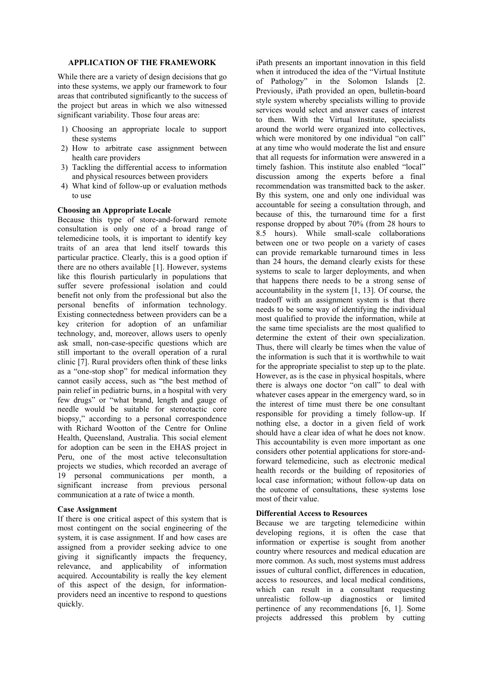## **APPLICATION OF THE FRAMEWORK**

While there are a variety of design decisions that go into these systems, we apply our framework to four areas that contributed significantly to the success of the project but areas in which we also witnessed significant variability. Those four areas are:

- 1) Choosing an appropriate locale to support these systems
- 2) How to arbitrate case assignment between health care providers
- 3) Tackling the differential access to information and physical resources between providers
- 4) What kind of follow-up or evaluation methods to use

## **Choosing an Appropriate Locale**

Because this type of store-and-forward remote consultation is only one of a broad range of telemedicine tools, it is important to identify key traits of an area that lend itself towards this particular practice. Clearly, this is a good option if there are no others available [1]. However, systems like this flourish particularly in populations that suffer severe professional isolation and could benefit not only from the professional but also the personal benefits of information technology. Existing connectedness between providers can be a key criterion for adoption of an unfamiliar technology, and, moreover, allows users to openly ask small, non-case-specific questions which are still important to the overall operation of a rural clinic [7]. Rural providers often think of these links as a "one-stop shop" for medical information they cannot easily access, such as "the best method of pain relief in pediatric burns, in a hospital with very few drugs" or "what brand, length and gauge of needle would be suitable for stereotactic core biopsy," according to a personal correspondence with Richard Wootton of the Centre for Online Health, Queensland, Australia. This social element for adoption can be seen in the EHAS project in Peru, one of the most active teleconsultation projects we studies, which recorded an average of 19 personal communications per month, a significant increase from previous personal communication at a rate of twice a month.

## **Case Assignment**

If there is one critical aspect of this system that is most contingent on the social engineering of the system, it is case assignment. If and how cases are assigned from a provider seeking advice to one giving it significantly impacts the frequency, relevance, and applicability of information acquired. Accountability is really the key element of this aspect of the design, for informationproviders need an incentive to respond to questions quickly.

iPath presents an important innovation in this field when it introduced the idea of the "Virtual Institute of Pathology" in the Solomon Islands [2. Previously, iPath provided an open, bulletin-board style system whereby specialists willing to provide services would select and answer cases of interest to them. With the Virtual Institute, specialists around the world were organized into collectives, which were monitored by one individual "on call" at any time who would moderate the list and ensure that all requests for information were answered in a timely fashion. This institute also enabled "local" discussion among the experts before a final recommendation was transmitted back to the asker. By this system, one and only one individual was accountable for seeing a consultation through, and because of this, the turnaround time for a first response dropped by about 70% (from 28 hours to 8.5 hours). While small-scale collaborations between one or two people on a variety of cases can provide remarkable turnaround times in less than 24 hours, the demand clearly exists for these systems to scale to larger deployments, and when that happens there needs to be a strong sense of accountability in the system [1, 13]. Of course, the tradeoff with an assignment system is that there needs to be some way of identifying the individual most qualified to provide the information, while at the same time specialists are the most qualified to determine the extent of their own specialization. Thus, there will clearly be times when the value of the information is such that it is worthwhile to wait for the appropriate specialist to step up to the plate. However, as is the case in physical hospitals, where there is always one doctor "on call" to deal with whatever cases appear in the emergency ward, so in the interest of time must there be one consultant responsible for providing a timely follow-up. If nothing else, a doctor in a given field of work should have a clear idea of what he does not know. This accountability is even more important as one considers other potential applications for store-andforward telemedicine, such as electronic medical health records or the building of repositories of local case information; without follow-up data on the outcome of consultations, these systems lose most of their value.

#### **Differential Access to Resources**

Because we are targeting telemedicine within developing regions, it is often the case that information or expertise is sought from another country where resources and medical education are more common. As such, most systems must address issues of cultural conflict, differences in education, access to resources, and local medical conditions, which can result in a consultant requesting unrealistic follow-up diagnostics or limited pertinence of any recommendations [6, 1]. Some projects addressed this problem by cutting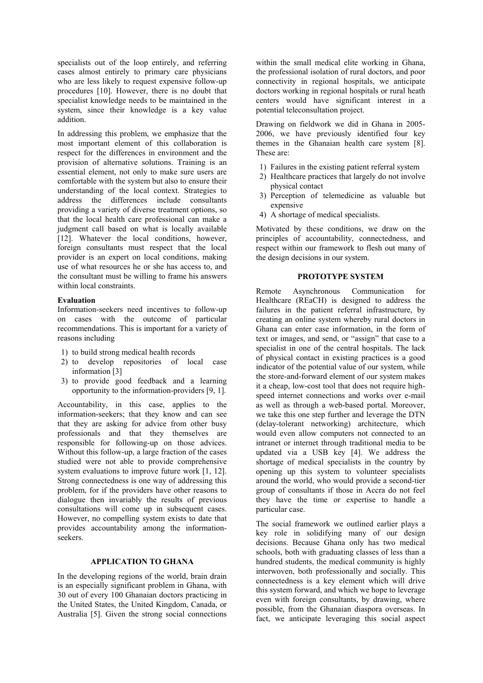specialists out of the loop entirely, and referring cases almost entirely to primary care physicians who are less likely to request expensive follow-up procedures [10]. However, there is no doubt that specialist knowledge needs to be maintained in the system, since their knowledge is a key value addition.

In addressing this problem, we emphasize that the most important element of this collaboration is respect for the differences in environment and the provision of alternative solutions. Training is an essential element, not only to make sure users are comfortable with the system but also to ensure their understanding of the local context. Strategies to address the differences include consultants providing a variety of diverse treatment options, so that the local health care professional can make a judgment call based on what is locally available [12]. Whatever the local conditions, however, foreign consultants must respect that the local provider is an expert on local conditions, making use of what resources he or she has access to, and the consultant must be willing to frame his answers within local constraints.

## **Evaluation**

Information-seekers need incentives to follow-up on cases with the outcome of particular recommendations. This is important for a variety of reasons including

- 1) to build strong medical health records
- 2) to develop repositories of local case information [3]
- 3) to provide good feedback and a learning opportunity to the information-providers [9, 1].

Accountability, in this case, applies to the information-seekers; that they know and can see that they are asking for advice from other busy professionals and that they themselves are responsible for following-up on those advices. Without this follow-up, a large fraction of the cases studied were not able to provide comprehensive system evaluations to improve future work [1, 12]. Strong connectedness is one way of addressing this problem, for if the providers have other reasons to dialogue then invariably the results of previous consultations will come up in subsequent cases. However, no compelling system exists to date that provides accountability among the informationseekers.

## **APPLICATION TO GHANA**

In the developing regions of the world, brain drain is an especially significant problem in Ghana, with 30 out of every 100 Ghanaian doctors practicing in the United States, the United Kingdom, Canada, or Australia [5]. Given the strong social connections within the small medical elite working in Ghana, the professional isolation of rural doctors, and poor connectivity in regional hospitals, we anticipate doctors working in regional hospitals or rural heath centers would have significant interest in a potential teleconsultation project.

Drawing on fieldwork we did in Ghana in 2005- 2006, we have previously identified four key themes in the Ghanaian health care system [8]. These are:

- 1) Failures in the existing patient referral system
- 2) Healthcare practices that largely do not involve physical contact
- 3) Perception of telemedicine as valuable but expensive
- 4) A shortage of medical specialists.

Motivated by these conditions, we draw on the principles of accountability, connectedness, and respect within our framework to flesh out many of the design decisions in our system.

## **PROTOTYPE SYSTEM**

Remote Asynchronous Communication for Healthcare (REaCH) is designed to address the failures in the patient referral infrastructure, by creating an online system whereby rural doctors in Ghana can enter case information, in the form of text or images, and send, or "assign" that case to a specialist in one of the central hospitals. The lack of physical contact in existing practices is a good indicator of the potential value of our system, while the store-and-forward element of our system makes it a cheap, low-cost tool that does not require highspeed internet connections and works over e-mail as well as through a web-based portal. Moreover, we take this one step further and leverage the DTN (delay-tolerant networking) architecture, which would even allow computers not connected to an intranet or internet through traditional media to be updated via a USB key [4]. We address the shortage of medical specialists in the country by opening up this system to volunteer specialists around the world, who would provide a second-tier group of consultants if those in Accra do not feel they have the time or expertise to handle a particular case.

The social framework we outlined earlier plays a key role in solidifying many of our design decisions. Because Ghana only has two medical schools, both with graduating classes of less than a hundred students, the medical community is highly interwoven, both professionally and socially. This connectedness is a key element which will drive this system forward, and which we hope to leverage even with foreign consultants, by drawing, where possible, from the Ghanaian diaspora overseas. In fact, we anticipate leveraging this social aspect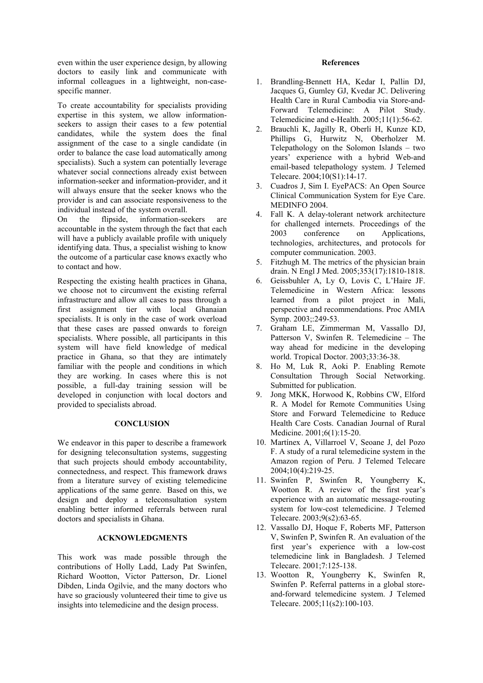even within the user experience design, by allowing doctors to easily link and communicate with informal colleagues in a lightweight, non-casespecific manner.

To create accountability for specialists providing expertise in this system, we allow informationseekers to assign their cases to a few potential candidates, while the system does the final assignment of the case to a single candidate (in order to balance the case load automatically among specialists). Such a system can potentially leverage whatever social connections already exist between information-seeker and information-provider, and it will always ensure that the seeker knows who the provider is and can associate responsiveness to the individual instead of the system overall.

On the flipside, information-seekers are accountable in the system through the fact that each will have a publicly available profile with uniquely identifying data. Thus, a specialist wishing to know the outcome of a particular case knows exactly who to contact and how.

Respecting the existing health practices in Ghana, we choose not to circumvent the existing referral infrastructure and allow all cases to pass through a first assignment tier with local Ghanaian specialists. It is only in the case of work overload that these cases are passed onwards to foreign specialists. Where possible, all participants in this system will have field knowledge of medical practice in Ghana, so that they are intimately familiar with the people and conditions in which they are working. In cases where this is not possible, a full-day training session will be developed in conjunction with local doctors and provided to specialists abroad.

## **CONCLUSION**

We endeavor in this paper to describe a framework for designing teleconsultation systems, suggesting that such projects should embody accountability, connectedness, and respect. This framework draws from a literature survey of existing telemedicine applications of the same genre. Based on this, we design and deploy a teleconsultation system enabling better informed referrals between rural doctors and specialists in Ghana.

## **ACKNOWLEDGMENTS**

This work was made possible through the contributions of Holly Ladd, Lady Pat Swinfen, Richard Wootton, Victor Patterson, Dr. Lionel Dibden, Linda Ogilvie, and the many doctors who have so graciously volunteered their time to give us insights into telemedicine and the design process.

### **References**

- 1. Brandling-Bennett HA, Kedar I, Pallin DJ, Jacques G, Gumley GJ, Kvedar JC. Delivering Health Care in Rural Cambodia via Store-and-Forward Telemedicine: A Pilot Study. Telemedicine and e-Health. 2005;11(1):56-62.
- 2. Brauchli K, Jagilly R, Oberli H, Kunze KD, Phillips G, Hurwitz N, Oberholzer M. Telepathology on the Solomon Islands – two years' experience with a hybrid Web-and email-based telepathology system. J Telemed Telecare. 2004;10(S1):14-17.
- 3. Cuadros J, Sim I. EyePACS: An Open Source Clinical Communication System for Eye Care. MEDINFO 2004.
- 4. Fall K. A delay-tolerant network architecture for challenged internets. Proceedings of the 2003 conference on Applications, technologies, architectures, and protocols for computer communication. 2003.
- 5. Fitzhugh M. The metrics of the physician brain drain. N Engl J Med. 2005;353(17):1810-1818.
- 6. Geissbuhler A, Ly O, Lovis C, L'Haire JF. Telemedicine in Western Africa: lessons learned from a pilot project in Mali, perspective and recommendations. Proc AMIA Symp. 2003;:249-53.
- 7. Graham LE, Zimmerman M, Vassallo DJ, Patterson V, Swinfen R. Telemedicine – The way ahead for medicine in the developing world. Tropical Doctor. 2003;33:36-38.
- 8. Ho M, Luk R, Aoki P. Enabling Remote Consultation Through Social Networking. Submitted for publication.
- 9. Jong MKK, Horwood K, Robbins CW, Elford R. A Model for Remote Communities Using Store and Forward Telemedicine to Reduce Health Care Costs. Canadian Journal of Rural Medicine. 2001;6(1):15-20.
- 10. Martínex A, Villarroel V, Seoane J, del Pozo F. A study of a rural telemedicine system in the Amazon region of Peru. J Telemed Telecare 2004;10(4):219-25.
- 11. Swinfen P, Swinfen R, Youngberry K, Wootton R. A review of the first year's experience with an automatic message-routing system for low-cost telemedicine. J Telemed Telecare. 2003;9(s2):63-65.
- 12. Vassallo DJ, Hoque F, Roberts MF, Patterson V, Swinfen P, Swinfen R. An evaluation of the first year's experience with a low-cost telemedicine link in Bangladesh. J Telemed Telecare. 2001;7:125-138.
- 13. Wootton R, Youngberry K, Swinfen R, Swinfen P. Referral patterns in a global storeand-forward telemedicine system. J Telemed Telecare. 2005;11(s2):100-103.